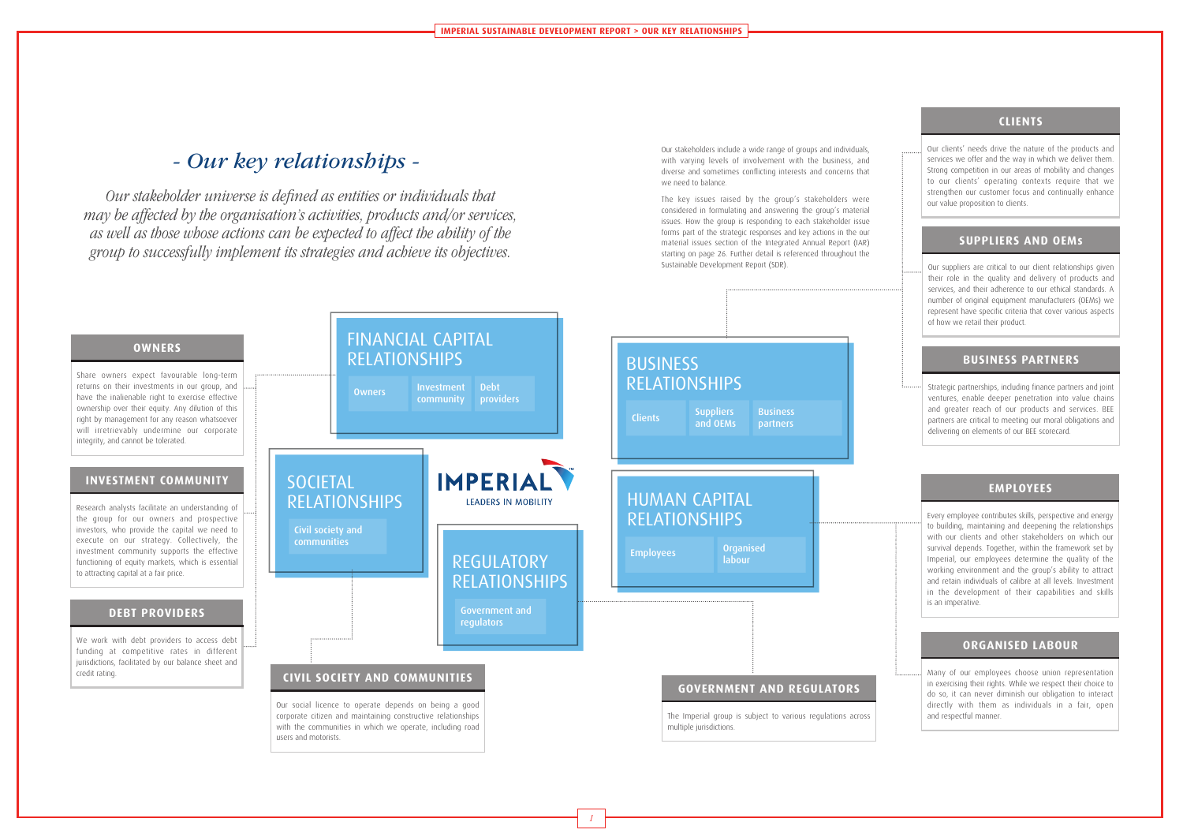*1*

Our stakeholders include a wide range of groups and individuals, with varying levels of involvement with the business, and diverse and sometimes conflicting interests and concerns that we need to balance.

The key issues raised by the group's stakeholders were considered in formulating and answering the group's material issues. How the group is responding to each stakeholder issue forms part of the strategic responses and key actions in the our material issues section of the Integrated Annual Report (IAR) starting on page 26. Further detail is referenced throughout the Sustainable Development Report (SDR).



*Our stakeholder universe is defined as entities or individuals that may be affected by the organisation's activities, products and/or services, as well as those whose actions can be expected to affect the ability of the group to successfully implement its strategies and achieve its objectives.*

### **CLIENTS**

Our clients' needs drive the nature of the products and services we offer and the way in which we deliver them. Strong competition in our areas of mobility and changes to our clients' operating contexts require that we strengthen our customer focus and continually enhance our value proposition to clients.

## **SUPPLIERS AND OEMs**

Our suppliers are critical to our client relationships given their role in the quality and delivery of products and services, and their adherence to our ethical standards. A number of original equipment manufacturers (OEMs) we represent have specific criteria that cover various aspects of how we retail their product.

# **BUSINESS PARTNERS**

Strategic partnerships, including finance partners and joint ventures, enable deeper penetration into value chains and greater reach of our products and services. BEE partners are critical to meeting our moral obligations and delivering on elements of our BEE scorecard.

# **EMPLOYEES**

Every employee contributes skills, perspective and energy to building, maintaining and deepening the relationships with our clients and other stakeholders on which our survival depends. Together, within the framework set by Imperial, our employees determine the quality of the working environment and the group's ability to attract and retain individuals of calibre at all levels. Investment in the development of their capabilities and skills is an imperative.

### **ORGANISED LABOUR**

Many of our employees choose union representation in exercising their rights. While we respect their choice to do so, it can never diminish our obligation to interact directly with them as individuals in a fair, open and respectful manner.

# *- Our key relationships -*